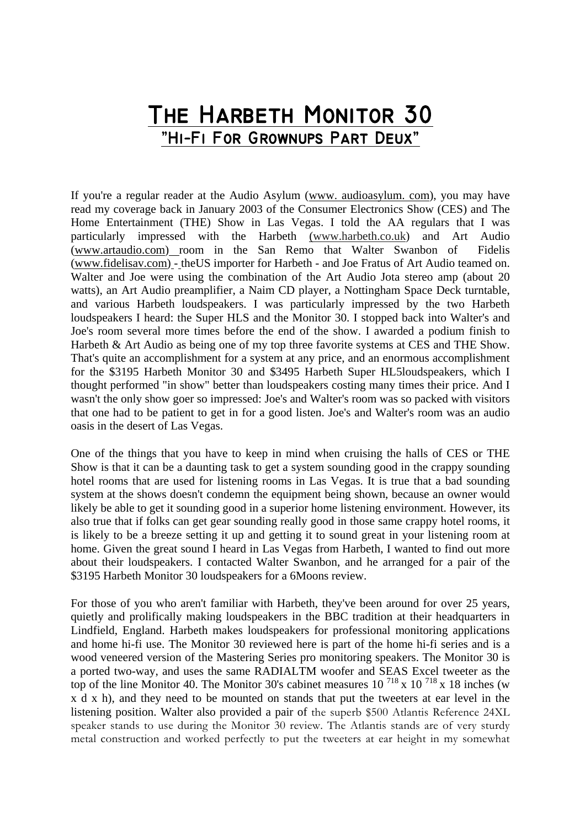## **The Harbeth Monitor 30 ˜Hi−Fi For Grownups Part Deux˜**

If you're a regular reader at the Audio Asylum (www. audioasylum. com), you may have read my coverage back in January 2003 of the Consumer Electronics Show (CES) and The Home Entertainment (THE) Show in Las Vegas. I told the AA regulars that I was particularly impressed with the Harbeth (www.harbeth.co.uk) and Art Audio (www.artaudio.com) room in the San Remo that Walter Swanbon of Fidelis (www.fidelisav.com) - theUS importer for Harbeth - and Joe Fratus of Art Audio teamed on. Walter and Joe were using the combination of the Art Audio Jota stereo amp (about 20 watts), an Art Audio preamplifier, a Naim CD player, a Nottingham Space Deck turntable, and various Harbeth loudspeakers. I was particularly impressed by the two Harbeth loudspeakers I heard: the Super HLS and the Monitor 30. I stopped back into Walter's and Joe's room several more times before the end of the show. I awarded a podium finish to Harbeth & Art Audio as being one of my top three favorite systems at CES and THE Show. That's quite an accomplishment for a system at any price, and an enormous accomplishment for the \$3195 Harbeth Monitor 30 and \$3495 Harbeth Super HL5loudspeakers, which I thought performed "in show" better than loudspeakers costing many times their price. And I wasn't the only show goer so impressed: Joe's and Walter's room was so packed with visitors that one had to be patient to get in for a good listen. Joe's and Walter's room was an audio oasis in the desert of Las Vegas.

One of the things that you have to keep in mind when cruising the halls of CES or THE Show is that it can be a daunting task to get a system sounding good in the crappy sounding hotel rooms that are used for listening rooms in Las Vegas. It is true that a bad sounding system at the shows doesn't condemn the equipment being shown, because an owner would likely be able to get it sounding good in a superior home listening environment. However, its also true that if folks can get gear sounding really good in those same crappy hotel rooms, it is likely to be a breeze setting it up and getting it to sound great in your listening room at home. Given the great sound I heard in Las Vegas from Harbeth, I wanted to find out more about their loudspeakers. I contacted Walter Swanbon, and he arranged for a pair of the \$3195 Harbeth Monitor 30 loudspeakers for a 6Moons review.

For those of you who aren't familiar with Harbeth, they've been around for over 25 years, quietly and prolifically making loudspeakers in the BBC tradition at their headquarters in Lindfield, England. Harbeth makes loudspeakers for professional monitoring applications and home hi-fi use. The Monitor 30 reviewed here is part of the home hi-fi series and is a wood veneered version of the Mastering Series pro monitoring speakers. The Monitor 30 is a ported two-way, and uses the same RADIALTM woofer and SEAS Excel tweeter as the top of the line Monitor 40. The Monitor 30's cabinet measures  $10^{718}$  x  $10^{718}$  x 18 inches (w x d x h), and they need to be mounted on stands that put the tweeters at ear level in the listening position. Walter also provided a pair of the superb \$500 Atlantis Reference 24XL speaker stands to use during the Monitor 30 review. The Atlantis stands are of very sturdy metal construction and worked perfectly to put the tweeters at ear height in my somewhat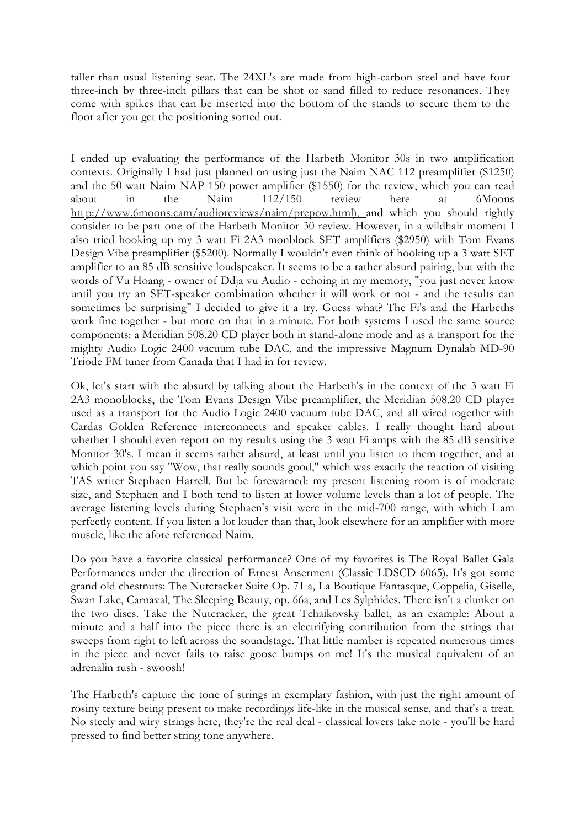taller than usual listening seat. The 24XL's are made from high-carbon steel and have four three-inch by three-inch pillars that can be shot or sand filled to reduce resonances. They come with spikes that can be inserted into the bottom of the stands to secure them to the floor after you get the positioning sorted out.

I ended up evaluating the performance of the Harbeth Monitor 30s in two amplification contexts. Originally I had just planned on using just the Naim NAC 112 preamplifier (\$1250) and the 50 watt Naim NAP 150 power amplifier (\$1550) for the review, which you can read about in the Naim 112/150 review here at 6Moons http://www.6moons.cam/audioreviews/naim/prepow.html), and which you should rightly consider to be part one of the Harbeth Monitor 30 review. However, in a wildhair moment I also tried hooking up my 3 watt Fi 2A3 monblock SET amplifiers (\$2950) with Tom Evans Design Vibe preamplifier (\$5200). Normally I wouldn't even think of hooking up a 3 watt SET amplifier to an 85 dB sensitive loudspeaker. It seems to be a rather absurd pairing, but with the words of Vu Hoang - owner of Ddja vu Audio - echoing in my memory, "you just never know until you try an SET-speaker combination whether it will work or not - and the results can sometimes be surprising" I decided to give it a try. Guess what? The Fi's and the Harbeths work fine together - but more on that in a minute. For both systems I used the same source components: a Meridian 508.20 CD player both in stand-alone mode and as a transport for the mighty Audio Logic 2400 vacuum tube DAC, and the impressive Magnum Dynalab MD-90 Triode FM tuner from Canada that I had in for review.

Ok, let's start with the absurd by talking about the Harbeth's in the context of the 3 watt Fi 2A3 monoblocks, the Tom Evans Design Vibe preamplifier, the Meridian 508.20 CD player used as a transport for the Audio Logic 2400 vacuum tube DAC, and all wired together with Cardas Golden Reference interconnects and speaker cables. I really thought hard about whether I should even report on my results using the 3 watt Fi amps with the 85 dB sensitive Monitor 30's. I mean it seems rather absurd, at least until you listen to them together, and at which point you say "Wow, that really sounds good," which was exactly the reaction of visiting TAS writer Stephaen Harrell. But be forewarned: my present listening room is of moderate size, and Stephaen and I both tend to listen at lower volume levels than a lot of people. The average listening levels during Stephaen's visit were in the mid-700 range, with which I am perfectly content. If you listen a lot louder than that, look elsewhere for an amplifier with more muscle, like the afore referenced Naim.

Do you have a favorite classical performance? One of my favorites is The Royal Ballet Gala Performances under the direction of Ernest Anserment (Classic LDSCD 6065). It's got some grand old chestnuts: The Nutcracker Suite Op. 71 a, La Boutique Fantasque, Coppelia, Giselle, Swan Lake, Carnaval, The Sleeping Beauty, op. 66a, and Les Sylphides. There isn't a clunker on the two discs. Take the Nutcracker, the great Tchaikovsky ballet, as an example: About a minute and a half into the piece there is an electrifying contribution from the strings that sweeps from right to left across the soundstage. That little number is repeated numerous times in the piece and never fails to raise goose bumps on me! It's the musical equivalent of an adrenalin rush - swoosh!

The Harbeth's capture the tone of strings in exemplary fashion, with just the right amount of rosiny texture being present to make recordings life-like in the musical sense, and that's a treat. No steely and wiry strings here, they're the real deal - classical lovers take note - you'll be hard pressed to find better string tone anywhere.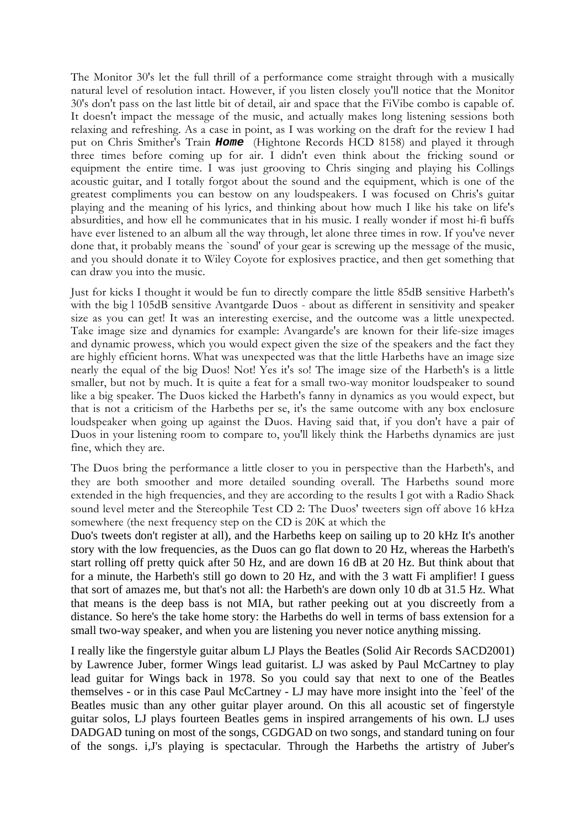The Monitor 30's let the full thrill of a performance come straight through with a musically natural level of resolution intact. However, if you listen closely you'll notice that the Monitor 30's don't pass on the last little bit of detail, air and space that the FiVibe combo is capable of. It doesn't impact the message of the music, and actually makes long listening sessions both relaxing and refreshing. As a case in point, as I was working on the draft for the review I had put on Chris Smither's Train *Home* (Hightone Records HCD 8158) and played it through three times before coming up for air. I didn't even think about the fricking sound or equipment the entire time. I was just grooving to Chris singing and playing his Collings acoustic guitar, and I totally forgot about the sound and the equipment, which is one of the greatest compliments you can bestow on any loudspeakers. I was focused on Chris's guitar playing and the meaning of his lyrics, and thinking about how much I like his take on life's absurdities, and how ell he communicates that in his music. I really wonder if most hi-fi buffs have ever listened to an album all the way through, let alone three times in row. If you've never done that, it probably means the `sound' of your gear is screwing up the message of the music, and you should donate it to Wiley Coyote for explosives practice, and then get something that can draw you into the music.

Just for kicks I thought it would be fun to directly compare the little 85dB sensitive Harbeth's with the big l 105dB sensitive Avantgarde Duos - about as different in sensitivity and speaker size as you can get! It was an interesting exercise, and the outcome was a little unexpected. Take image size and dynamics for example: Avangarde's are known for their life-size images and dynamic prowess, which you would expect given the size of the speakers and the fact they are highly efficient horns. What was unexpected was that the little Harbeths have an image size nearly the equal of the big Duos! Not! Yes it's so! The image size of the Harbeth's is a little smaller, but not by much. It is quite a feat for a small two-way monitor loudspeaker to sound like a big speaker. The Duos kicked the Harbeth's fanny in dynamics as you would expect, but that is not a criticism of the Harbeths per se, it's the same outcome with any box enclosure loudspeaker when going up against the Duos. Having said that, if you don't have a pair of Duos in your listening room to compare to, you'll likely think the Harbeths dynamics are just fine, which they are.

The Duos bring the performance a little closer to you in perspective than the Harbeth's, and they are both smoother and more detailed sounding overall. The Harbeths sound more extended in the high frequencies, and they are according to the results I got with a Radio Shack sound level meter and the Stereophile Test CD 2: The Duos' tweeters sign off above 16 kHza somewhere (the next frequency step on the CD is 20K at which the

Duo's tweets don't register at all), and the Harbeths keep on sailing up to 20 kHz It's another story with the low frequencies, as the Duos can go flat down to 20 Hz, whereas the Harbeth's start rolling off pretty quick after 50 Hz, and are down 16 dB at 20 Hz. But think about that for a minute, the Harbeth's still go down to 20 Hz, and with the 3 watt Fi amplifier! I guess that sort of amazes me, but that's not all: the Harbeth's are down only 10 db at 31.5 Hz. What that means is the deep bass is not MIA, but rather peeking out at you discreetly from a distance. So here's the take home story: the Harbeths do well in terms of bass extension for a small two-way speaker, and when you are listening you never notice anything missing.

I really like the fingerstyle guitar album LJ Plays the Beatles (Solid Air Records SACD2001) by Lawrence Juber, former Wings lead guitarist. LJ was asked by Paul McCartney to play lead guitar for Wings back in 1978. So you could say that next to one of the Beatles themselves - or in this case Paul McCartney - LJ may have more insight into the `feel' of the Beatles music than any other guitar player around. On this all acoustic set of fingerstyle guitar solos, LJ plays fourteen Beatles gems in inspired arrangements of his own. LJ uses DADGAD tuning on most of the songs, CGDGAD on two songs, and standard tuning on four of the songs. i,J's playing is spectacular. Through the Harbeths the artistry of Juber's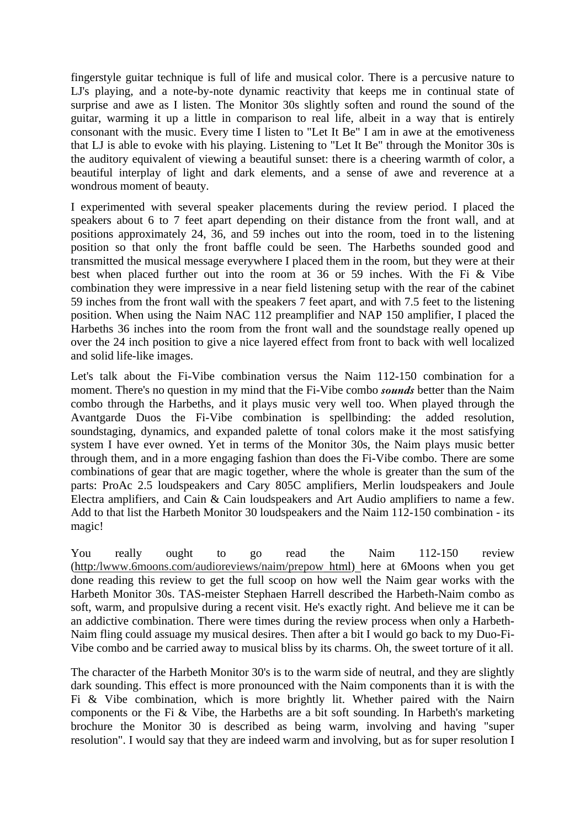fingerstyle guitar technique is full of life and musical color. There is a percusive nature to LJ's playing, and a note-by-note dynamic reactivity that keeps me in continual state of surprise and awe as I listen. The Monitor 30s slightly soften and round the sound of the guitar, warming it up a little in comparison to real life, albeit in a way that is entirely consonant with the music. Every time I listen to "Let It Be" I am in awe at the emotiveness that LJ is able to evoke with his playing. Listening to "Let It Be" through the Monitor 30s is the auditory equivalent of viewing a beautiful sunset: there is a cheering warmth of color, a beautiful interplay of light and dark elements, and a sense of awe and reverence at a wondrous moment of beauty.

I experimented with several speaker placements during the review period. I placed the speakers about 6 to 7 feet apart depending on their distance from the front wall, and at positions approximately 24, 36, and 59 inches out into the room, toed in to the listening position so that only the front baffle could be seen. The Harbeths sounded good and transmitted the musical message everywhere I placed them in the room, but they were at their best when placed further out into the room at 36 or 59 inches. With the Fi & Vibe combination they were impressive in a near field listening setup with the rear of the cabinet 59 inches from the front wall with the speakers 7 feet apart, and with 7.5 feet to the listening position. When using the Naim NAC 112 preamplifier and NAP 150 amplifier, I placed the Harbeths 36 inches into the room from the front wall and the soundstage really opened up over the 24 inch position to give a nice layered effect from front to back with well localized and solid life-like images.

Let's talk about the Fi-Vibe combination versus the Naim 112-150 combination for a moment. There's no question in my mind that the Fi-Vibe combo *sounds* better than the Naim combo through the Harbeths, and it plays music very well too. When played through the Avantgarde Duos the Fi-Vibe combination is spellbinding: the added resolution, soundstaging, dynamics, and expanded palette of tonal colors make it the most satisfying system I have ever owned. Yet in terms of the Monitor 30s, the Naim plays music better through them, and in a more engaging fashion than does the Fi-Vibe combo. There are some combinations of gear that are magic together, where the whole is greater than the sum of the parts: ProAc 2.5 loudspeakers and Cary 805C amplifiers, Merlin loudspeakers and Joule Electra amplifiers, and Cain & Cain loudspeakers and Art Audio amplifiers to name a few. Add to that list the Harbeth Monitor 30 loudspeakers and the Naim 112-150 combination - its magic!

You really ought to go read the Naim 112-150 review (http:/lwww.6moons.com/audioreviews/naim/prepow html) here at 6Moons when you get done reading this review to get the full scoop on how well the Naim gear works with the Harbeth Monitor 30s. TAS-meister Stephaen Harrell described the Harbeth-Naim combo as soft, warm, and propulsive during a recent visit. He's exactly right. And believe me it can be an addictive combination. There were times during the review process when only a Harbeth-Naim fling could assuage my musical desires. Then after a bit I would go back to my Duo-Fi-Vibe combo and be carried away to musical bliss by its charms. Oh, the sweet torture of it all.

The character of the Harbeth Monitor 30's is to the warm side of neutral, and they are slightly dark sounding. This effect is more pronounced with the Naim components than it is with the Fi & Vibe combination, which is more brightly lit. Whether paired with the Nairn components or the Fi & Vibe, the Harbeths are a bit soft sounding. In Harbeth's marketing brochure the Monitor 30 is described as being warm, involving and having "super resolution". I would say that they are indeed warm and involving, but as for super resolution I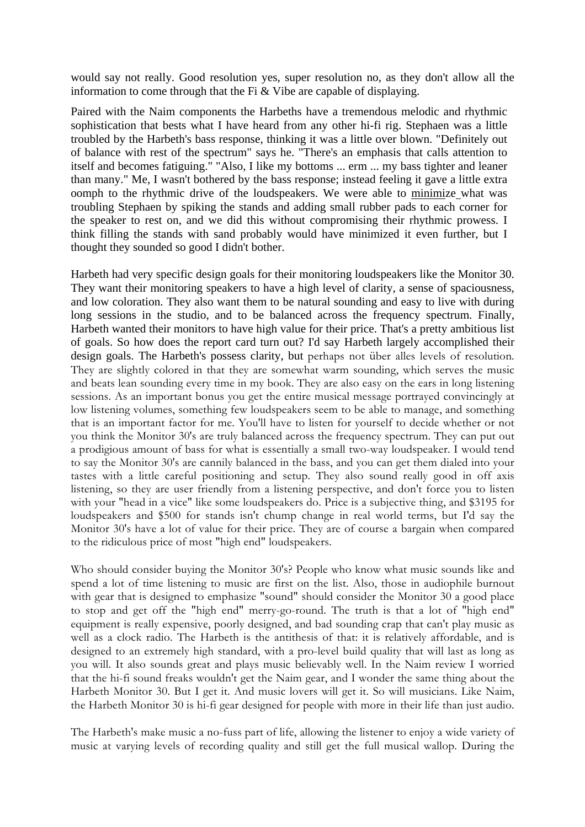would say not really. Good resolution yes, super resolution no, as they don't allow all the information to come through that the Fi & Vibe are capable of displaying.

Paired with the Naim components the Harbeths have a tremendous melodic and rhythmic sophistication that bests what I have heard from any other hi-fi rig. Stephaen was a little troubled by the Harbeth's bass response, thinking it was a little over blown. "Definitely out of balance with rest of the spectrum" says he. "There's an emphasis that calls attention to itself and becomes fatiguing." "Also, I like my bottoms ... erm ... my bass tighter and leaner than many." Me, I wasn't bothered by the bass response; instead feeling it gave a little extra oomph to the rhythmic drive of the loudspeakers. We were able to minimize what was troubling Stephaen by spiking the stands and adding small rubber pads to each corner for the speaker to rest on, and we did this without compromising their rhythmic prowess. I think filling the stands with sand probably would have minimized it even further, but I thought they sounded so good I didn't bother.

Harbeth had very specific design goals for their monitoring loudspeakers like the Monitor 30. They want their monitoring speakers to have a high level of clarity, a sense of spaciousness, and low coloration. They also want them to be natural sounding and easy to live with during long sessions in the studio, and to be balanced across the frequency spectrum. Finally, Harbeth wanted their monitors to have high value for their price. That's a pretty ambitious list of goals. So how does the report card turn out? I'd say Harbeth largely accomplished their design goals. The Harbeth's possess clarity, but perhaps not über alles levels of resolution. They are slightly colored in that they are somewhat warm sounding, which serves the music and beats lean sounding every time in my book. They are also easy on the ears in long listening sessions. As an important bonus you get the entire musical message portrayed convincingly at low listening volumes, something few loudspeakers seem to be able to manage, and something that is an important factor for me. You'll have to listen for yourself to decide whether or not you think the Monitor 30's are truly balanced across the frequency spectrum. They can put out a prodigious amount of bass for what is essentially a small two-way loudspeaker. I would tend to say the Monitor 30's are cannily balanced in the bass, and you can get them dialed into your tastes with a little careful positioning and setup. They also sound really good in off axis listening, so they are user friendly from a listening perspective, and don't force you to listen with your "head in a vice" like some loudspeakers do. Price is a subjective thing, and \$3195 for loudspeakers and \$500 for stands isn't chump change in real world terms, but I'd say the Monitor 30's have a lot of value for their price. They are of course a bargain when compared to the ridiculous price of most "high end" loudspeakers.

Who should consider buying the Monitor 30's? People who know what music sounds like and spend a lot of time listening to music are first on the list. Also, those in audiophile burnout with gear that is designed to emphasize "sound" should consider the Monitor 30 a good place to stop and get off the "high end" merry-go-round. The truth is that a lot of "high end" equipment is really expensive, poorly designed, and bad sounding crap that can't play music as well as a clock radio. The Harbeth is the antithesis of that: it is relatively affordable, and is designed to an extremely high standard, with a pro-level build quality that will last as long as you will. It also sounds great and plays music believably well. In the Naim review I worried that the hi-fi sound freaks wouldn't get the Naim gear, and I wonder the same thing about the Harbeth Monitor 30. But I get it. And music lovers will get it. So will musicians. Like Naim, the Harbeth Monitor 30 is hi-fi gear designed for people with more in their life than just audio.

The Harbeth's make music a no-fuss part of life, allowing the listener to enjoy a wide variety of music at varying levels of recording quality and still get the full musical wallop. During the